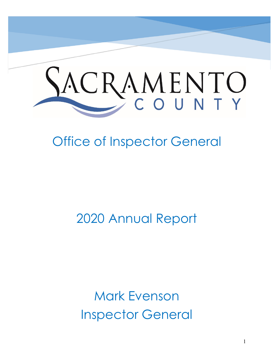

# Office of Inspector General

2020 Annual Report

Mark Evenson Inspector General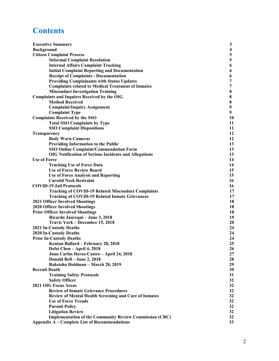# **Contents**

| <b>Executive Summary</b>                                       |                 |
|----------------------------------------------------------------|-----------------|
| <b>Background</b>                                              |                 |
| <b>Citizen Complaint Process</b>                               | 5               |
| <b>Informal Complaint Resolution</b>                           | 5               |
| <b>Internal Affairs Complaint Tracking</b>                     | 6               |
| <b>Initial Complaint Reporting and Documentation</b>           | 6               |
| <b>Receipt of Complaints - Documentation</b>                   | 6               |
| <b>Providing Complainants with Status Updates</b>              | 7               |
| <b>Complaints related to Medical Treatment of Inmates</b>      | 7               |
| <b>Misconduct Investigation Training</b>                       | 8               |
| <b>Complaints and Inquires Received by the OIG</b>             | 8               |
| <b>Method Received</b>                                         | 8               |
| <b>Complaint/Inquiry Assignment</b>                            | 9               |
| <b>Complaint Type</b>                                          | 9               |
| <b>Complaints Received by the SSO</b>                          | 10              |
| <b>Total SSO Complaints by Type</b>                            | 11              |
| <b>SSO Complaint Dispositions</b>                              | 11              |
| Transparency                                                   | 12              |
| <b>Body Worn Cameras</b>                                       | 12              |
| <b>Providing Information to the Public</b>                     | 13              |
| <b>SSO Online Complaint/Commendation Form</b>                  | 13              |
| <b>OIG Notification of Serious Incidents and Allegations</b>   | 13              |
| <b>Use of Force</b>                                            | 14              |
| <b>Tracking Use of Force Data</b>                              | 14              |
| <b>Use of Force Review Board</b>                               | 15              |
| <b>Use of Force Analysis and Reporting</b>                     | 15              |
| <b>Carotid Neck Restraint</b>                                  | 16              |
| <b>COVID-19 Jail Protocols</b>                                 | 16              |
| <b>Tracking of COVID-19 Related Misconduct Complaints</b>      | 17              |
| <b>Tracking of COVID-19 Related Inmate Grievances</b>          | 17              |
| <b>2021 Officer Involved Shootings</b>                         | 18              |
| <b>2020 Officer Involved Shootings</b>                         | 18              |
| <b>Prior Officer Involved Shootings</b>                        | 18              |
| Ricardo Jaurequi - June 3, 2018                                | 19              |
| Travis York - December 15, 2018                                | 20              |
| <b>2021 In-Custody Deaths</b>                                  | 24              |
| <b>2020 In-Custody Deaths</b>                                  | 24              |
| <b>Prior In-Custody Deaths</b>                                 | 24              |
| Kenton Ballard - February 28, 2018                             | 25              |
| Defei Chen - April 4, 2018                                     | 26              |
| Juan Carlos Heras-Castro - April 24, 2018                      | 27              |
| Donald Bell - June 2, 2018                                     | 28              |
| Rakeisha Holdman - March 28, 2019                              | 29              |
| <b>Recruit Death</b>                                           | 30              |
| <b>Training Safety Protocols</b>                               | 31              |
| <b>Safety Officer</b>                                          | 32              |
| <b>2021 OIG Focus Areas</b>                                    | 32              |
| <b>Review of Inmate Grievance Procedures</b>                   | 32              |
| <b>Review of Mental Health Screening and Care of Inmates</b>   | 32              |
| <b>Use of Force Trends</b>                                     | 32              |
| <b>Pursuit Policy</b>                                          | 32              |
| <b>Litigation Review</b>                                       | 32              |
| <b>Implementation of the Community Review Commission (CRC)</b> | 32              |
| <b>Appendix A – Complete List of Recommendations</b>           | 33 <sup>3</sup> |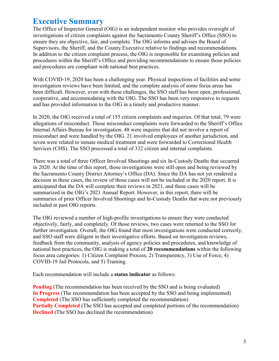# **Executive Summary**

The Office of Inspector General (OIG) is an independent monitor who provides oversight of investigations of citizen complaints against the Sacramento County Sheriff's Office (SSO) to ensure they are objective, fair, and complete. The OIG informs and advises the Board of Supervisors, the Sheriff, and the County Executive relative to findings and recommendations. In addition to the citizen complaint process, the OIG is responsible for examining policies and procedures within the Sheriff's Office and providing recommendations to ensure those policies and procedures are compliant with national best practices.

With COVID-19, 2020 has been a challenging year. Physical inspections of facilities and some investigation reviews have been limited, and the complete analysis of some focus areas has been difficult. However, even with these challenges, the SSO staff has been open, professional, cooperative, and accommodating with the OIG. The SSO has been very responsive to requests and has provided information to the OIG in a timely and productive manner.

In 2020, the OIG received a total of 155 citizen complaints and inquiries. Of that total, 79 were allegations of misconduct. Those misconduct complaints were forwarded to the Sheriff's Office Internal Affairs Bureau for investigation. 48 were inquires that did not involve a report of misconduct and were handled by the OIG. 21 involved employees of another jurisdiction, and seven were related to inmate medical treatment and were forwarded to Correctional Health Services (CHS). The SSO processed a total of 332 citizen and internal complaints.

There was a total of three Officer Involved Shootings and six In-Custody Deaths that occurred in 2020. At the time of this report, those investigations were still open and being reviewed by the Sacramento County District Attorney's Office (DA). Since the DA has not yet rendered a decision in these cases, the review of those cases will not be included in the 2020 report. It is anticipated that the DA will complete their reviews in 2021, and these cases will be summarized in the OIG's 2021 Annual Report. However, in this report, there will be summaries of prior Officer Involved Shootings and In-Custody Deaths that were not previously included in past OIG reports.

The OIG reviewed a number of high-profile investigations to ensure they were conducted objectively, fairly, and completely. Of those reviews, two cases were returned to the SSO for further investigation. Overall, the OIG found that most investigations were conducted correctly, and SSO staff were diligent in their investigative efforts. Based on investigation reviews, feedback from the community, analysis of agency policies and procedures, and knowledge of national best practices, the OIG is making a total of **20 recommendations** within the following focus area categories: 1) Citizen Complaint Process, 2) Transparency, 3) Use of Force, 4) COVID-19 Jail Protocols, and 5) Training.

Each recommendation will include a **status indicator** as follows:

**Pending** (The recommendation has been received by the SSO and is being evaluated) **In Progress** (The recommendation has been accepted by the SSO and being implemented) **Completed** (The SSO has sufficiently completed the recommendation) **Partially Completed** (The SSO has accepted and completed portions of the recommendation) **Declined** (The SSO has declined the recommendation)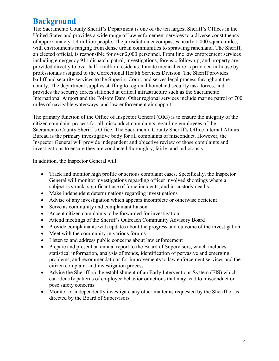# **Background**

The Sacramento County Sheriff's Department is one of the ten largest Sheriff's Offices in the United States and provides a wide range of law enforcement services to a diverse constituency of approximately 1.4 million people. The jurisdiction encompasses nearly 1,000 square miles, with environments ranging from dense urban communities to sprawling ranchland. The Sheriff, an elected official, is responsible for over 2,000 personnel. Front line law enforcement services including emergency 911 dispatch, patrol, investigations, forensic follow up, and property are provided directly to over half a million residents. Inmate medical care is provided in-house by professionals assigned to the Correctional Health Services Division. The Sheriff provides bailiff and security services to the Superior Court, and serves legal process throughout the county. The department supplies staffing to regional homeland security task forces, and provides the security forces stationed at critical infrastructure such as the Sacramento International Airport and the Folsom Dam. Other regional services include marine patrol of 700 miles of navigable waterways, and law enforcement air support.

The primary function of the Office of Inspector General (OIG) is to ensure the integrity of the citizen complaint process for all misconduct complaints regarding employees of the Sacramento County Sheriff's Office. The Sacramento County Sheriff's Office Internal Affairs Bureau is the primary investigative body for all complaints of misconduct. However, the Inspector General will provide independent and objective review of those complaints and investigations to ensure they are conducted thoroughly, fairly, and judiciously.

In addition, the Inspector General will:

- Track and monitor high profile or serious complaint cases. Specifically, the Inspector General will monitor investigations regarding officer involved shootings where a subject is struck, significant use of force incidents, and in-custody deaths
- Make independent determinations regarding investigations
- Advise of any investigation which appears incomplete or otherwise deficient
- Serve as community and complainant liaison
- Accept citizen complaints to be forwarded for investigation
- Attend meetings of the Sheriff's Outreach Community Advisory Board
- Provide complainants with updates about the progress and outcome of the investigation
- Meet with the community in various forums
- Listen to and address public concerns about law enforcement
- Prepare and present an annual report to the Board of Supervisors, which includes statistical information, analysis of trends, identification of pervasive and emerging problems, and recommendations for improvements to law enforcement services and the citizen complaint and investigation process
- Advise the Sheriff on the establishment of an Early Interventions System (EIS) which can identify patterns of employee behavior or actions that may lead to misconduct or pose safety concerns
- Monitor or independently investigate any other matter as requested by the Sheriff or as directed by the Board of Supervisors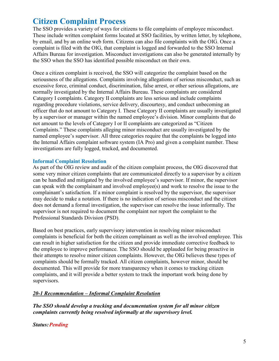# **Citizen Complaint Process**

The SSO provides a variety of ways for citizens to file complaints of employee misconduct. These include written complaint forms located at SSO facilities, by written letter, by telephone, by email, and by an online web form. Citizens can also file complaints with the OIG. Once a complaint is filed with the OIG, that complaint is logged and forwarded to the SSO Internal Affairs Bureau for investigation. Misconduct investigations can also be generated internally by the SSO when the SSO has identified possible misconduct on their own.

Once a citizen complaint is received, the SSO will categorize the complaint based on the seriousness of the allegations. Complaints involving allegations of serious misconduct, such as excessive force, criminal conduct, discrimination, false arrest, or other serious allegations, are normally investigated by the Internal Affairs Bureau. These complaints are considered Category I complaints. Category II complaints are less serious and include complaints regarding procedure violations, service delivery, discourtesy, and conduct unbecoming an officer that do not amount to Category I. These Category II complaints are usually investigated by a supervisor or manager within the named employee's division. Minor complaints that do not amount to the levels of Category I or II complaints are categorized as "Citizen Complaints." These complaints alleging minor misconduct are usually investigated by the named employee's supervisor. All three categories require that the complaints be logged into the Internal Affairs complaint software system (IA Pro) and given a complaint number. These investigations are fully logged, tracked, and documented.

#### **Informal Complaint Resolution**

As part of the OIG review and audit of the citizen complaint process, the OIG discovered that some very minor citizen complaints that are communicated directly to a supervisor by a citizen can be handled and mitigated by the involved employee's supervisor. If minor, the supervisor can speak with the complainant and involved employee(s) and work to resolve the issue to the complainant's satisfaction. If a minor complaint is resolved by the supervisor, the supervisor may decide to make a notation. If there is no indication of serious misconduct and the citizen does not demand a formal investigation, the supervisor can resolve the issue informally. The supervisor is not required to document the complaint nor report the complaint to the Professional Standards Division (PSD).

Based on best practices, early supervisory intervention in resolving minor misconduct complaints is beneficial for both the citizen complainant as well as the involved employee. This can result in higher satisfaction for the citizen and provide immediate corrective feedback to the employee to improve performance. The SSO should be applauded for being proactive in their attempts to resolve minor citizen complaints. However, the OIG believes these types of complaints should be formally tracked. All citizen complaints, however minor, should be documented. This will provide for more transparency when it comes to tracking citizen complaints, and it will provide a better system to track the important work being done by supervisors.

# *20-1 Recommendation – Informal Complaint Resolution*

*The SSO should develop a tracking and documentation system for all minor citizen complaints currently being resolved informally at the supervisory level.* 

*Status: Pending*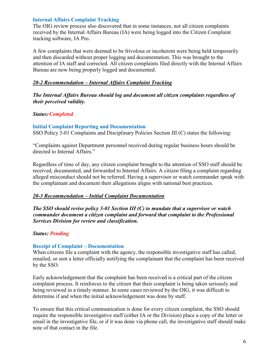# **Internal Affairs Complaint Tracking**

The OIG review process also discovered that in some instances, not all citizen complaints received by the Internal Affairs Bureau (IA) were being logged into the Citizen Complaint tracking software, IA Pro.

A few complaints that were deemed to be frivolous or incoherent were being held temporarily and then discarded without proper logging and documentation. This was brought to the attention of IA staff and corrected. All citizen complaints filed directly with the Internal Affairs Bureau are now being properly logged and documented.

# *20-2 Recommendation – Internal Affairs Complaint Tracking*

*The Internal Affairs Bureau should log and document all citizen complaints regardless of their perceived validity.* 

# *Status:Completed*

# **Initial Complaint Reporting and Documentation**

SSO Policy 3-01 Complaints and Disciplinary Policies Section III (C) states the following:

"Complaints against Department personnel received during regular business hours should be directed to Internal Affairs."

Regardless of time of day, any citizen complaint brought to the attention of SSO staff should be received, documented, and forwarded to Internal Affairs. A citizen filing a complaint regarding alleged misconduct should not be referred. Having a supervisor or watch commander speak with the complainant and document their allegations aligns with national best practices.

# *20-3 Recommendation – Initial Complaint Documentation*

*The SSO should revise policy 3-01 Section III (C) to mandate that a supervisor or watch commander document a citizen complaint and forward that complaint to the Professional Services Division for review and classification.* 

# *Status: Pending*

# **Receipt of Complaint – Documentation**

When citizens file a complaint with the agency, the responsible investigative staff has called, emailed, or sent a letter officially notifying the complainant that the complaint has been received by the SSO.

Early acknowledgement that the complaint has been received is a critical part of the citizen complaint process. It reinforces to the citizen that their complaint is being taken seriously and being reviewed in a timely manner. In some cases reviewed by the OIG, it was difficult to determine if and when the initial acknowledgement was done by staff.

To ensure that this critical communication is done for every citizen complaint, the SSO should require the responsible investigative staff (either IA or the Division) place a copy of the letter or email in the investigative file, or if it was done via phone call, the investigative staff should make note of that contact in the file.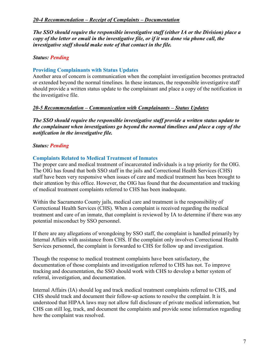*The SSO should require the responsible investigative staff (either IA or the Division) place a copy of the letter or email in the investigative file, or if it was done via phone call, the investigative staff should make note of that contact in the file.*

# *Status: Pending*

# **Providing Complainants with Status Updates**

Another area of concern is communication when the complaint investigation becomes protracted or extended beyond the normal timelines. In these instances, the responsible investigative staff should provide a written status update to the complainant and place a copy of the notification in the investigative file.

# *20-5 Recommendation – Communication with Complainants – Status Updates*

*The SSO should require the responsible investigative staff provide a written status update to the complainant when investigations go beyond the normal timelines and place a copy of the notification in the investigative file.* 

# *Status: Pending*

# **Complaints Related to Medical Treatment of Inmates**

The proper care and medical treatment of incarcerated individuals is a top priority for the OIG. The OIG has found that both SSO staff in the jails and Correctional Health Services (CHS) staff have been very responsive when issues of care and medical treatment has been brought to their attention by this office. However, the OIG has found that the documentation and tracking of medical treatment complaints referred to CHS has been inadequate.

Within the Sacramento County jails, medical care and treatment is the responsibility of Correctional Health Services (CHS). When a complaint is received regarding the medical treatment and care of an inmate, that complaint is reviewed by IA to determine if there was any potential misconduct by SSO personnel.

If there are any allegations of wrongdoing by SSO staff, the complaint is handled primarily by Internal Affairs with assistance from CHS. If the complaint only involves Correctional Health Services personnel, the complaint is forwarded to CHS for follow up and investigation.

Though the response to medical treatment complaints have been satisfactory, the documentation of those complaints and investigation referred to CHS has not. To improve tracking and documentation, the SSO should work with CHS to develop a better system of referral, investigation, and documentation.

Internal Affairs (IA) should log and track medical treatment complaints referred to CHS, and CHS should track and document their follow-up actions to resolve the complaint. It is understood that HIPAA laws may not allow full disclosure of private medical information, but CHS can still log, track, and document the complaints and provide some information regarding how the complaint was resolved.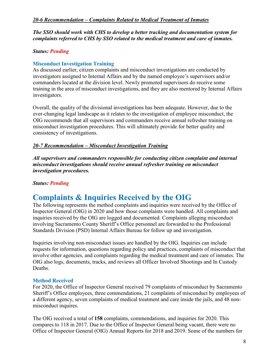# *20-6 Recommendation – Complaints Related to Medical Treatment of Inmates*

*The SSO should work with CHS to develop a better tracking and documentation system for complaints referred to CHS by SSO related to the medical treatment and care of inmates.*

# *Status: Pending*

# **Misconduct Investigation Training**

As discussed earlier, citizen complaints and misconduct investigations are conducted by investigators assigned to Internal Affairs and by the named employee's supervisors and/or commanders located at the division level. Newly promoted supervisors do receive some training in the area of misconduct investigations, and they are also mentored by Internal Affairs investigators.

Overall, the quality of the divisional investigations has been adequate. However, due to the ever-changing legal landscape as it relates to the investigation of employee misconduct, the OIG recommends that all supervisors and commanders receive annual refresher training on misconduct investigation procedures. This will ultimately provide for better quality and consistency of investigations.

# *20-7 Recommendation – Misconduct Investigation Training*

*All supervisors and commanders responsible for conducting citizen complaint and internal misconduct investigations should receive annual refresher training on misconduct investigation procedures.*

# *Status: Pending*

# **Complaints & Inquiries Received by the OIG**

The following represents the method complaints and inquiries were received by the Office of Inspector General (OIG) in 2020 and how those complaints were handled. All complaints and inquiries received by the OIG are logged and documented. Complaints alleging misconduct involving Sacramento County Sheriff's Office personnel are forwarded to the Professional Standards Division (PSD) Internal Affairs Bureau for follow up and investigation.

Inquiries involving non-misconduct issues are handled by the OIG. Inquiries can include requests for information, questions regarding policy and practices, complaints of misconduct that involve other agencies, and complaints regarding the medical treatment and care of inmates. The OIG also logs, documents, tracks, and reviews all Officer Involved Shootings and In Custody Deaths.

# **Method Received**

For 2020, the Office of Inspector General received 79 complaints of misconduct by Sacramento Sheriff's Office employees, three commendations, 21 complaints of misconduct by employees of a different agency, seven complaints of medical treatment and care inside the jails, and 48 nonmisconduct inquires.

The OIG received a total of **158** complaints, commendations, and inquiries for 2020. This compares to 118 in 2017. Due to the Office of Inspector General being vacant, there were no Office of Inspector General (OIG) Annual Reports for 2018 and 2019. Some of the numbers for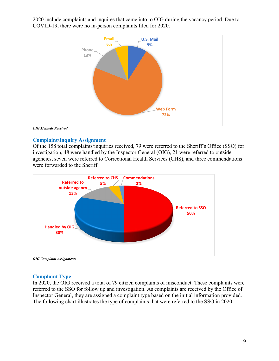2020 include complaints and inquires that came into to OIG during the vacancy period. Due to COVID-19, there were no in-person complaints filed for 2020.



*OIG Methods Received*

# **Complaint/Inquiry Assignment**

Of the 158 total complaints/inquiries received, 79 were referred to the Sheriff's Office (SSO) for investigation, 48 were handled by the Inspector General (OIG), 21 were referred to outside agencies, seven were referred to Correctional Health Services (CHS), and three commendations were forwarded to the Sheriff.



*OIG Complaint Assignments*

# **Complaint Type**

In 2020, the OIG received a total of 79 citizen complaints of misconduct. These complaints were referred to the SSO for follow up and investigation. As complaints are received by the Office of Inspector General, they are assigned a complaint type based on the initial information provided. The following chart illustrates the type of complaints that were referred to the SSO in 2020.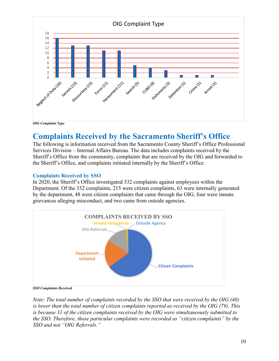

# **Complaints Received by the Sacramento Sheriff's Office**

The following is information received from the Sacramento County Sheriff's Office Professional Services Division – Internal Affairs Bureau. The data includes complaints received by the Sheriff's Office from the community, complaints that are received by the OIG and forwarded to the Sheriff's Office, and complaints initiated internally by the Sheriff's Office.

# **Complaints Received by SSO**

In 2020, the Sheriff's Office investigated 332 complaints against employees within the Department. Of the 332 complaints, 215 were citizen complaints, 63 were internally generated by the department, 48 were citizen complaints that came through the OIG, four were inmate grievances alleging misconduct, and two came from outside agencies.



*SSO Complaints Received*

*Note: The total number of complaints recorded by the SSO that were received by the OIG (48) is lower than the total number of citizen complaints reported as received by the OIG (79). This is because 31 of the citizen complaints received by the OIG were simultaneously submitted to the SSO. Therefore, those particular complaints were recorded as "citizen complaints" by the SSO and not "OIG Referrals."*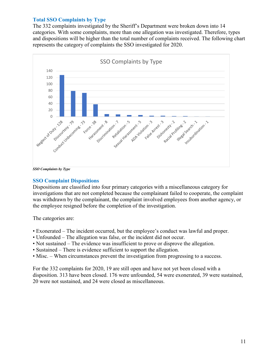### **Total SSO Complaints by Type**

The 332 complaints investigated by the Sheriff's Department were broken down into 14 categories. With some complaints, more than one allegation was investigated. Therefore, types and dispositions will be higher than the total number of complaints received. The following chart represents the category of complaints the SSO investigated for 2020.



#### *SSO Complaints by Type*

#### **SSO Complaint Dispositions**

Dispositions are classified into four primary categories with a miscellaneous category for investigations that are not completed because the complainant failed to cooperate, the complaint was withdrawn by the complainant, the complaint involved employees from another agency, or the employee resigned before the completion of the investigation.

The categories are:

- Exonerated The incident occurred, but the employee's conduct was lawful and proper.
- Unfounded The allegation was false, or the incident did not occur.
- Not sustained The evidence was insufficient to prove or disprove the allegation.
- Sustained There is evidence sufficient to support the allegation.
- Misc. When circumstances prevent the investigation from progressing to a success.

For the 332 complaints for 2020, 19 are still open and have not yet been closed with a disposition. 313 have been closed. 176 were unfounded, 54 were exonerated, 39 were sustained, 20 were not sustained, and 24 were closed as miscellaneous.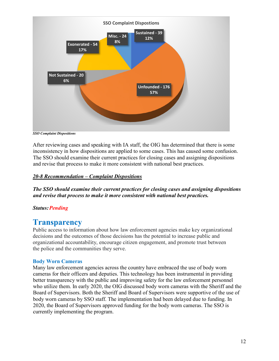

*SSO Complaint Dispositions*

After reviewing cases and speaking with IA staff, the OIG has determined that there is some inconsistency in how dispositions are applied to some cases. This has caused some confusion. The SSO should examine their current practices for closing cases and assigning dispositions and revise that process to make it more consistent with national best practices.

# *20-8 Recommendation – Complaint Dispositions*

*The SSO should examine their current practices for closing cases and assigning dispositions and revise that process to make it more consistent with national best practices.*

# *Status: Pending*

# **Transparency**

Public access to information about how law enforcement agencies make key organizational decisions and the outcomes of those decisions has the potential to increase public and organizational accountability, encourage citizen engagement, and promote trust between the police and the communities they serve.

# **Body Worn Cameras**

Many law enforcement agencies across the country have embraced the use of body worn cameras for their officers and deputies. This technology has been instrumental in providing better transparency with the public and improving safety for the law enforcement personnel who utilize them. In early 2020, the OIG discussed body worn cameras with the Sheriff and the Board of Supervisors. Both the Sheriff and Board of Supervisors were supportive of the use of body worn cameras by SSO staff. The implementation had been delayed due to funding. In 2020, the Board of Supervisors approved funding for the body worn cameras. The SSO is currently implementing the program.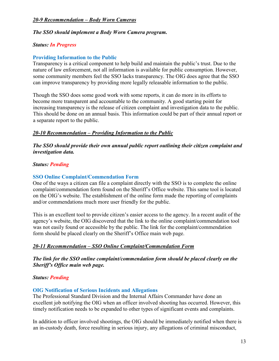# *20-9 Recommendation – Body Worn Cameras*

#### *The SSO should implement a Body Worn Camera program.*

#### *Status: In Progress*

### **Providing Information to the Public**

Transparency is a critical component to help build and maintain the public's trust. Due to the nature of law enforcement, not all information is available for public consumption. However, some community members feel the SSO lacks transparency. The OIG does agree that the SSO can improve transparency by providing more legally releasable information to the public.

Though the SSO does some good work with some reports, it can do more in its efforts to become more transparent and accountable to the community. A good starting point for increasing transparency is the release of citizen complaint and investigation data to the public. This should be done on an annual basis. This information could be part of their annual report or a separate report to the public.

#### *20-10 Recommendation – Providing Information to the Public*

*The SSO should provide their own annual public report outlining their citizen complaint and investigation data.* 

#### *Status: Pending*

#### **SSO Online Complaint/Commendation Form**

One of the ways a citizen can file a complaint directly with the SSO is to complete the online complaint/commendation form found on the Sheriff's Office website. This same tool is located on the OIG's website. The establishment of the online form made the reporting of complaints and/or commendations much more user friendly for the public.

This is an excellent tool to provide citizen's easier access to the agency. In a recent audit of the agency's website, the OIG discovered that the link to the online complaint/commendation tool was not easily found or accessible by the public. The link for the complaint/commendation form should be placed clearly on the Sheriff's Office main web page.

# *20-11 Recommendation – SSO Online Complaint/Commendation Form*

*The link for the SSO online complaint/commendation form should be placed clearly on the Sheriff's Office main web page.*

#### *Status: Pending*

#### **OIG Notification of Serious Incidents and Allegations**

The Professional Standard Division and the Internal Affairs Commander have done an excellent job notifying the OIG when an officer involved shooting has occurred. However, this timely notification needs to be expanded to other types of significant events and complaints.

In addition to officer involved shootings, the OIG should be immediately notified when there is an in-custody death, force resulting in serious injury, any allegations of criminal misconduct,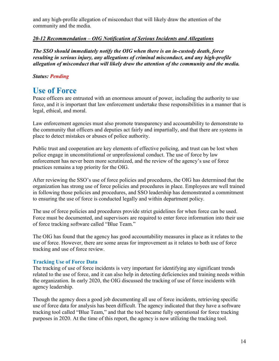and any high-profile allegation of misconduct that will likely draw the attention of the community and the media.

# *20-12 Recommendation – OIG Notification of Serious Incidents and Allegations*

*The SSO should immediately notify the OIG when there is an in-custody death, force resulting in serious injury, any allegations of criminal misconduct, and any high-profile allegation of misconduct that will likely draw the attention of the community and the media.* 

# *Status: Pending*

# **Use of Force**

Peace officers are entrusted with an enormous amount of power, including the authority to use force, and it is important that law enforcement undertake these responsibilities in a manner that is legal, ethical, and moral.

Law enforcement agencies must also promote transparency and accountability to demonstrate to the community that officers and deputies act fairly and impartially, and that there are systems in place to detect mistakes or abuses of police authority.

Public trust and cooperation are key elements of effective policing, and trust can be lost when police engage in unconstitutional or unprofessional conduct. The use of force by law enforcement has never been more scrutinized, and the review of the agency's use of force practices remains a top priority for the OIG.

After reviewing the SSO's use of force policies and procedures, the OIG has determined that the organization has strong use of force policies and procedures in place. Employees are well trained in following those policies and procedures, and SSO leadership has demonstrated a commitment to ensuring the use of force is conducted legally and within department policy.

The use of force policies and procedures provide strict guidelines for when force can be used. Force must be documented, and supervisors are required to enter force information into their use of force tracking software called "Blue Team."

The OIG has found that the agency has good accountability measures in place as it relates to the use of force. However, there are some areas for improvement as it relates to both use of force tracking and use of force review.

# **Tracking Use of Force Data**

The tracking of use of force incidents is very important for identifying any significant trends related to the use of force, and it can also help in detecting deficiencies and training needs within the organization. In early 2020, the OIG discussed the tracking of use of force incidents with agency leadership.

Though the agency does a good job documenting all use of force incidents, retrieving specific use of force data for analysis has been difficult. The agency indicated that they have a software tracking tool called "Blue Team," and that the tool became fully operational for force tracking purposes in 2020. At the time of this report, the agency is now utilizing the tracking tool.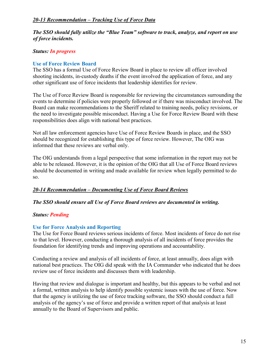# *20-13 Recommendation – Tracking Use of Force Data*

# *The SSO should fully utilize the "Blue Team" software to track, analyze, and report on use of force incidents.*

# *Status: In progress*

# **Use of Force Review Board**

The SSO has a formal Use of Force Review Board in place to review all officer involved shooting incidents, in-custody deaths if the event involved the application of force, and any other significant use of force incidents that leadership identifies for review.

The Use of Force Review Board is responsible for reviewing the circumstances surrounding the events to determine if policies were properly followed or if there was misconduct involved. The Board can make recommendations to the Sheriff related to training needs, policy revisions, or the need to investigate possible misconduct. Having a Use for Force Review Board with these responsibilities does align with national best practices.

Not all law enforcement agencies have Use of Force Review Boards in place, and the SSO should be recognized for establishing this type of force review. However, The OIG was informed that these reviews are verbal only.

The OIG understands from a legal perspective that some information in the report may not be able to be released. However, it is the opinion of the OIG that all Use of Force Board reviews should be documented in writing and made available for review when legally permitted to do so.

# *20-14 Recommendation – Documenting Use of Force Board Reviews*

# *The SSO should ensure all Use of Force Board reviews are documented in writing.*

# *Status: Pending*

# **Use for Force Analysis and Reporting**

The Use for Force Board reviews serious incidents of force. Most incidents of force do not rise to that level. However, conducting a thorough analysis of all incidents of force provides the foundation for identifying trends and improving operations and accountability.

Conducting a review and analysis of all incidents of force, at least annually, does align with national best practices. The OIG did speak with the IA Commander who indicated that he does review use of force incidents and discusses them with leadership.

Having that review and dialogue is important and healthy, but this appears to be verbal and not a formal, written analysis to help identify possible systemic issues with the use of force. Now that the agency is utilizing the use of force tracking software, the SSO should conduct a full analysis of the agency's use of force and provide a written report of that analysis at least annually to the Board of Supervisors and public.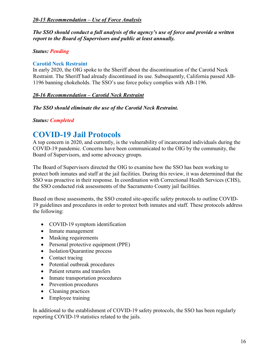# *20-15 Recommendation – Use of Force Analysis*

*The SSO should conduct a full analysis of the agency's use of force and provide a written report to the Board of Supervisors and public at least annually.* 

# *Status: Pending*

# **Carotid Neck Restraint**

In early 2020, the OIG spoke to the Sheriff about the discontinuation of the Carotid Neck Restraint. The Sheriff had already discontinued its use. Subsequently, California passed AB-1196 banning chokeholds. The SSO's use force policy complies with AB-1196.

# *20-16 Recommendation – Carotid Neck Restraint*

# *The SSO should eliminate the use of the Carotid Neck Restraint.*

# *Status: Completed*

# **COVID-19 Jail Protocols**

A top concern in 2020, and currently, is the vulnerability of incarcerated individuals during the COVID-19 pandemic. Concerns have been communicated to the OIG by the community, the Board of Supervisors, and some advocacy groups.

The Board of Supervisors directed the OIG to examine how the SSO has been working to protect both inmates and staff at the jail facilities. During this review, it was determined that the SSO was proactive in their response. In coordination with Correctional Health Services (CHS), the SSO conducted risk assessments of the Sacramento County jail facilities.

Based on those assessments, the SSO created site-specific safety protocols to outline COVID-19 guidelines and procedures in order to protect both inmates and staff. These protocols address the following:

- COVID-19 symptom identification
- Inmate management
- Masking requirements
- Personal protective equipment (PPE)
- Isolation/Quarantine process
- Contact tracing
- Potential outbreak procedures
- Patient returns and transfers
- Inmate transportation procedures
- Prevention procedures
- Cleaning practices
- Employee training

In additional to the establishment of COVID-19 safety protocols, the SSO has been regularly reporting COVID-19 statistics related to the jails.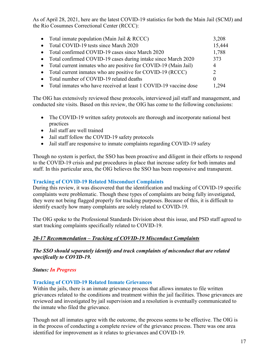As of April 28, 2021, here are the latest COVID-19 statistics for both the Main Jail (SCMJ) and the Rio Cosumnes Correctional Center (RCCC):

| • Total inmate population (Main Jail & RCCC)                       | 3,208          |
|--------------------------------------------------------------------|----------------|
| • Total COVID-19 tests since March 2020                            | 15,444         |
| • Total confirmed COVID-19 cases since March 2020                  | 1,788          |
| • Total confirmed COVID-19 cases during intake since March 2020    | 373            |
| • Total current inmates who are positive for COVID-19 (Main Jail)  | 4              |
| • Total current inmates who are positive for COVID-19 (RCCC)       | $\overline{2}$ |
| • Total number of COVID-19 related deaths                          | $\Omega$       |
| • Total inmates who have received at least 1 COVID-19 vaccine dose |                |

The OIG has extensively reviewed these protocols, interviewed jail staff and management, and conducted site visits. Based on this review, the OIG has come to the following conclusions:

- The COVID-19 written safety protocols are thorough and incorporate national best practices
- Jail staff are well trained
- Jail staff follow the COVID-19 safety protocols
- Jail staff are responsive to inmate complaints regarding COVID-19 safety

Though no system is perfect, the SSO has been proactive and diligent in their efforts to respond to the COVID-19 crisis and put procedures in place that increase safety for both inmates and staff. In this particular area, the OIG believes the SSO has been responsive and transparent.

# **Tracking of COVID-19 Related Misconduct Complaints**

During this review, it was discovered that the identification and tracking of COVID-19 specific complaints were problematic. Though these types of complaints are being fully investigated, they were not being flagged properly for tracking purposes. Because of this, it is difficult to identify exactly how many complaints are solely related to COVID-19.

The OIG spoke to the Professional Standards Division about this issue, and PSD staff agreed to start tracking complaints specifically related to COVID-19.

# *20-17 Recommendation – Tracking of COVID-19 Misconduct Complaints*

*The SSO should separately identify and track complaints of misconduct that are related specifically to COVID-19.* 

# *Status: In Progress*

# **Tracking of COVID-19 Related Inmate Grievances**

Within the jails, there is an inmate grievance process that allows inmates to file written grievances related to the conditions and treatment within the jail facilities. Those grievances are reviewed and investigated by jail supervision and a resolution is eventually communicated to the inmate who filed the grievance.

Though not all inmates agree with the outcome, the process seems to be effective. The OIG is in the process of conducting a complete review of the grievance process. There was one area identified for improvement as it relates to grievances and COVID-19.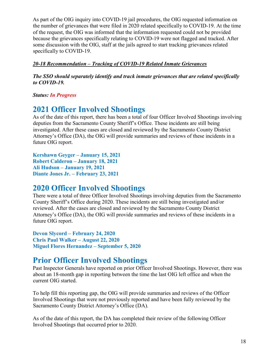As part of the OIG inquiry into COVID-19 jail procedures, the OIG requested information on the number of grievances that were filed in 2020 related specifically to COVID-19. At the time of the request, the OIG was informed that the information requested could not be provided because the grievances specifically relating to COVID-19 were not flagged and tracked. After some discussion with the OIG, staff at the jails agreed to start tracking grievances related specifically to COVID-19.

# *20-18 Recommendation – Tracking of COVID-19 Related Inmate Grievances*

*The SSO should separately identify and track inmate grievances that are related specifically to COVID-19.* 

*Status: In Progress*

# **2021 Officer Involved Shootings**

As of the date of this report, there has been a total of four Officer Involved Shootings involving deputies from the Sacramento County Sheriff's Office. These incidents are still being investigated. After these cases are closed and reviewed by the Sacramento County District Attorney's Office (DA), the OIG will provide summaries and reviews of these incidents in a future OIG report.

**Kershawn Geyger – January 15, 2021 Robert Calderon – January 18, 2021 Ali Hudson – January 19, 2021 Diante Jones Jr. – February 23, 2021**

# **2020 Officer Involved Shootings**

There were a total of three Officer Involved Shootings involving deputies from the Sacramento County Sheriff's Office during 2020. These incidents are still being investigated and/or reviewed. After the cases are closed and reviewed by the Sacramento County District Attorney's Office (DA), the OIG will provide summaries and reviews of these incidents in a future OIG report.

**Devon Slycord – February 24, 2020 Chris Paul Walker – August 22, 2020 Miguel Flores Hernandez – September 5, 2020**

# **Prior Officer Involved Shootings**

Past Inspector Generals have reported on prior Officer Involved Shootings. However, there was about an 18-month gap in reporting between the time the last OIG left office and when the current OIG started.

To help fill this reporting gap, the OIG will provide summaries and reviews of the Officer Involved Shootings that were not previously reported and have been fully reviewed by the Sacramento County District Attorney's Office (DA).

As of the date of this report, the DA has completed their review of the following Officer Involved Shootings that occurred prior to 2020.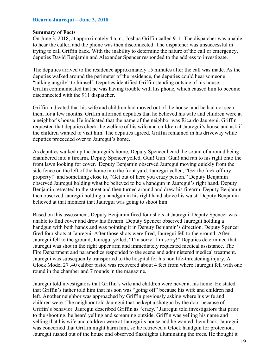### **Ricardo Jaurequi – June 3, 2018**

#### **Summary of Facts**

On June 3, 2018, at approximately 4 a.m., Joshua Griffin called 911. The dispatcher was unable to hear the caller, and the phone was then disconnected. The dispatcher was unsuccessful in trying to call Griffin back. With the inability to determine the nature of the call or emergency, deputies David Benjamin and Alexander Spencer responded to the address to investigate.

The deputies arrived to the residence approximately 15 minutes after the call was made. As the deputies walked around the perimeter of the residence, the deputies could hear someone "talking angrily" to himself. Deputies identified Griffin standing outside of his house. Griffin communicated that he was having trouble with his phone, which caused him to become disconnected with the 911 dispatcher.

Griffin indicated that his wife and children had moved out of the house, and he had not seen them for a few months. Griffin informed deputies that he believed his wife and children were at a neighbor's house. He indicated that the name of the neighbor was Ricardo Jauregui. Griffin requested that deputies check the welfare of his wife and children at Jauregui's house and ask if the children wanted to visit him. The deputies agreed. Griffin remained in his driveway while deputies proceeded over to Jauregui's home.

As deputies walked up the Jauregui's home, Deputy Spencer heard the sound of a round being chambered into a firearm. Deputy Spencer yelled, Gun! Gun! Gun! and ran to his right onto the front lawn looking for cover. Deputy Benjamin observed Jauregui moving quickly from the side fence on the left of the home into the front yard. Jauregui yelled, "Get the fuck off my property!" and something close to, "Get out of here you crazy person." Deputy Benjamin observed Jauregui holding what he believed to be a handgun in Jauregui's right hand. Deputy Benjamin retreated to the street and then turned around and drew his firearm. Deputy Benjamin then observed Jauregui holding a handgun in his right hand above his waist. Deputy Benjamin believed at that moment that Jauregui was going to shoot him.

Based on this assessment, Deputy Benjamin fired four shots at Jauregui. Deputy Spencer was unable to find cover and drew his firearm. Deputy Spencer observed Jauregui holding a handgun with both hands and was pointing it in Deputy Benjamin's direction. Deputy Spencer fired four shots at Jauregui. After those shots were fired, Jauregui fell to the ground. After Jauregui fell to the ground, Jauregui yelled, "I'm sorry! I'm sorry!" Deputies determined that Jauregui was shot in the right upper arm and immediately requested medical assistance. The Fire Department and paramedics responded to the scene and administered medical treatment. Jauregui was subsequently transported to the hospital for his non life-threatening injury. A Glock Model 27 .40 caliber pistol was recovered about 4 feet from where Jauregui fell with one round in the chamber and 7 rounds in the magazine.

Jauregui told investigators that Griffin's wife and children were never at his home. He stated that Griffin's father told him that his son was "going off" because his wife and children had left. Another neighbor was approached by Griffin previously asking where his wife and children were. The neighbor told Jauregui that he kept a shotgun by the door because of Griffin's behavior. Jauregui described Griffin as "crazy." Jauregui told investigators that prior to the shooting, he heard yelling and screaming outside. Griffin was yelling his name and yelling that his wife and children were at Jauregui's house and he wanted them back. Jauregui was concerned that Griffin might harm him, so he retrieved a Glock handgun for protection. Jauregui rushed out of the house and observed flashlights illuminating the trees. He thought it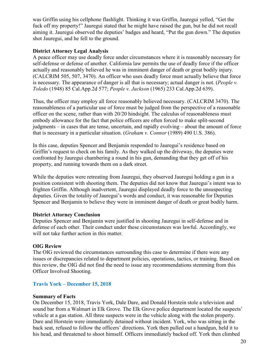was Griffin using his cellphone flashlight. Thinking it was Griffin, Jauregui yelled, "Get the fuck off my property!" Jauregui stated that he might have raised the gun, but he did not recall aiming it. Jauregui observed the deputies' badges and heard, "Put the gun down." The deputies shot Jauregui, and he fell to the ground.

### **District Attorney Legal Analysis**

A peace officer may use deadly force under circumstances where it is reasonably necessary for self-defense or defense of another. California law permits the use of deadly force if the officer actually and reasonably believed he was in imminent danger of death or great bodily injury. (CALCRIM 505, 507, 3470). An officer who uses deadly force must actually believe that force is necessary. The appearance of danger is all that is necessary; actual danger is not. (*People v. Toledo* (1948) 85 Cal.App.2d 577; *People v. Jackson* (1965) 233 Cal.App.2d 639).

Thus, the officer may employ all force reasonably believed necessary. (CALCRIM 3470). The reasonableness of a particular use of force must be judged from the perspective of a reasonable officer on the scene, rather than with 20/20 hindsight. The calculus of reasonableness must embody allowance for the fact that police officers are often forced to make split-second judgments – in cases that are tense, uncertain, and rapidly evolving – about the amount of force that is necessary in a particular situation. (*Graham v. Connor* (1989) 490 U.S. 386).

In this case, deputies Spencer and Benjamin responded to Jauregui's residence based on Griffin's request to check on his family. As they walked up the driveway, the deputies were confronted by Jauregui chambering a round in his gun, demanding that they get off of his property, and running towards them on a dark street.

While the deputies were retreating from Jauregui, they observed Jauregui holding a gun in a position consistent with shooting them. The deputies did not know that Jauregui's intent was to frighten Griffin. Although inadvertent, Jauregui displayed deadly force to the unsuspecting deputies. Given the totality of Jauregui's words and conduct, it was reasonable for Deputies Spencer and Benjamin to believe they were in imminent danger of death or great bodily harm.

#### **District Attorney Conclusion**

Deputies Spencer and Benjamin were justified in shooting Jauregui in self-defense and in defense of each other. Their conduct under these circumstances was lawful. Accordingly, we will not take further action in this matter.

# **OIG Review**

The OIG reviewed the circumstances surrounding this case to determine if there were any issues or discrepancies related to department policies, operations, tactics, or training. Based on this review, the OIG did not find the need to issue any recommendations stemming from this Officer Involved Shooting.

# **Travis York – December 15, 2018**

#### **Summary of Facts**

On December 15, 2018, Travis York, Dale Dare, and Donald Horstein stole a television and sound bar from a Walmart in Elk Grove. The Elk Grove police department located the suspects' vehicle at a gas station. All three suspects were in the vehicle along with the stolen property. Dare and Horstein were immediately detained without incident. York, who was sitting in the back seat, refused to follow the officers' directions. York then pulled out a handgun, held it to his head, and threatened to shoot himself. Officers immediately backed off. York then climbed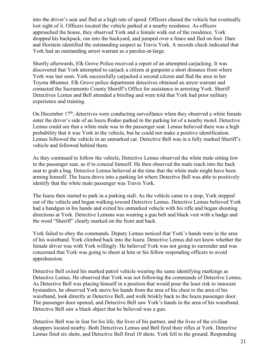into the driver's seat and fled at a high rate of speed. Officers chased the vehicle but eventually lost sight of it. Officers located the vehicle parked at a nearby residence. As officers approached the house, they observed York and a female walk out of the residence. York dropped his backpack, ran into the backyard, and jumped over a fence and fled on foot. Dare and Horstein identified the outstanding suspect as Travis York. A records check indicated that York had an outstanding arrest warrant as a parolee-at-large.

Shortly afterwards, Elk Grove Police received a report of an attempted carjacking. It was discovered that York attempted to carjack a citizen at gunpoint a short distance from where York was last seen. York successfully carjacked a second citizen and fled the area in her Toyota 4Runner. Elk Grove police department detectives obtained an arrest warrant and contacted the Sacramento County Sheriff's Office for assistance in arresting York. Sheriff Detectives Lemus and Bell attended a briefing and were told that York had prior military experience and training.

On December  $17<sup>th</sup>$ , detectives were conducting surveillance when they observed a white female enter the driver's side of an Isuzu Rodeo parked in the parking lot of a nearby motel. Detective Lemus could see that a white male was in the passenger seat. Lemus believed there was a high probability that it was York in the vehicle, but he could not make a positive identification. Lemus followed the vehicle in an unmarked car. Detective Bell was in a fully marked Sheriff's vehicle and followed behind them.

As they continued to follow the vehicle, Detective Lemus observed the white male sitting low in the passenger seat, as if to conceal himself. He then observed the male reach into the back seat to grab a bag. Detective Lemus believed at the time that the white male might have been arming himself. The Isuzu drove into a parking lot where Detective Bell was able to positively identify that the white male passenger was Travis York.

The Isuzu then started to park in a parking stall. As the vehicle came to a stop, York stepped out of the vehicle and began walking toward Detective Lemus. Detective Lemus believed York had a handgun in his hands and exited his unmarked vehicle with his rifle and began shouting directions at York. Detective Lemans was wearing a gun belt and black vest with a badge and the word "Sheriff" clearly marked on the front and back.

York failed to obey the commands. Deputy Lemus noticed that York's hands were in the area of his waistband. York climbed back into the Isuzu. Detective Lemus did not know whether the female driver was with York willingly. He believed York was not going to surrender and was concerned that York was going to shoot at him or his fellow responding officers to avoid apprehension.

Detective Bell exited his marked patrol vehicle wearing the same identifying markings as Detective Lemus. He observed that York was not following the commands of Detective Lemus. As Detective Bell was placing himself in a position that would pose the least risk to innocent bystanders, he observed York move his hands from the area of his chest to the area of his waistband, look directly at Detective Bell, and walk briskly back to the Isuzu passenger door. The passenger door opened, and Detective Bell saw York's hands in the area of his waistband. Detective Bell saw a black object that he believed was a gun.

Detective Bell was in fear for his life, the lives of his partner, and the lives of the civilian shoppers located nearby. Both Detectives Lemus and Bell fired their rifles at York. Detective Lemus fired six shots, and Detective Bell fired 10 shots. York fell to the ground. Responding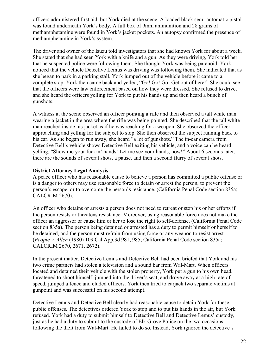officers administered first aid, but York died at the scene. A loaded black semi-automatic pistol was found underneath York's body. A full box of 9mm ammunition and 28 grams of methamphetamine were found in York's jacket pockets. An autopsy confirmed the presence of methamphetamine in York's system.

The driver and owner of the Isuzu told investigators that she had known York for about a week. She stated that she had seen York with a knife and a gun. As they were driving, York told her that he suspected police were following them. She thought York was being paranoid. York noticed that the vehicle Detective Lemus was driving was following them. She indicated that as she began to park in a parking stall, York jumped out of the vehicle before it came to a complete stop. York then came back and yelled, "Go! Go! Go! Get out of here!" She could see that the officers were law enforcement based on how they were dressed. She refused to drive, and she heard the officers yelling for York to put his hands up and then heard a bunch of gunshots.

A witness at the scene observed an officer pointing a rifle and then observed a tall white man wearing a jacket in the area where the rifle was being pointed. She described that the tall white man reached inside his jacket as if he was reaching for a weapon. She observed the officer approaching and yelling for the subject to stop. She then observed the subject running back to his car. As she began to run away, she heard "a lot of gunshots." The in-car camera from Detective Bell's vehicle shows Detective Bell exiting his vehicle, and a voice can be heard yelling, "Show me your fuckin' hands! Let me see your hands, now!" About 6 seconds later, there are the sounds of several shots, a pause, and then a second flurry of several shots.

# **District Attorney Legal Analysis**

A peace officer who has reasonable cause to believe a person has committed a public offense or is a danger to others may use reasonable force to detain or arrest the person, to prevent the person's escape, or to overcome the person's resistance. (California Penal Code section 835a; CALCRIM 2670).

An officer who detains or arrests a person does not need to retreat or stop his or her efforts if the person resists or threatens resistance. Moreover, using reasonable force does not make the officer an aggressor or cause him or her to lose the right to self-defense. (California Penal Code section 835a). The person being detained or arrested has a duty to permit himself or herself to be detained, and the person must refrain from using force or any weapon to resist arrest. (*People v. Allen* (1980) 109 Cal.App.3d 981, 985; California Penal Code section 835a; CALCRIM 2670, 2671, 2672).

In the present matter, Detective Lemus and Detective Bell had been briefed that York and his two crime partners had stolen a television and a sound bar from Wal-Mart. When officers located and detained their vehicle with the stolen property, York put a gun to his own head, threatened to shoot himself, jumped into the driver's seat, and drove away at a high rate of speed, jumped a fence and eluded officers. York then tried to carjack two separate victims at gunpoint and was successful on his second attempt.

Detective Lemus and Detective Bell clearly had reasonable cause to detain York for these public offenses. The detectives ordered York to stop and to put his hands in the air, but York refused. York had a duty to submit himself to Detective Bell and Detective Lemus' custody, just as he had a duty to submit to the custody of Elk Grove Police on the two occasions following the theft from Wal-Mart. He failed to do so. Instead, York ignored the detective's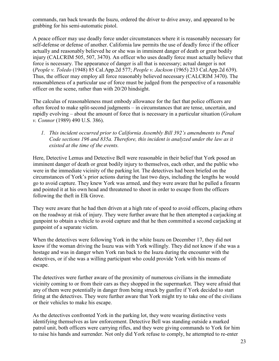commands, ran back towards the Isuzu, ordered the driver to drive away, and appeared to be grabbing for his semi-automatic pistol.

A peace officer may use deadly force under circumstances where it is reasonably necessary for self-defense or defense of another. California law permits the use of deadly force if the officer actually and reasonably believed he or she was in imminent danger of death or great bodily injury (CALCRIM 505, 507, 3470). An officer who uses deadly force must actually believe that force is necessary. The appearance of danger is all that is necessary; actual danger is not (*People v. Toledo* (1948) 85 Cal.App.2d 577; *People v. Jackson* (1965) 233 Cal.App.2d 639). Thus, the officer may employ all force reasonably believed necessary (CALCRIM 3470). The reasonableness of a particular use of force must be judged from the perspective of a reasonable officer on the scene, rather than with 20/20 hindsight.

The calculus of reasonableness must embody allowance for the fact that police officers are often forced to make split-second judgments – in circumstances that are tense, uncertain, and rapidly evolving – about the amount of force that is necessary in a particular situation (*Graham v. Connor* (1989) 490 U.S. 386).

*1. This incident occurred prior to California Assembly Bill 392's amendments to Penal Code sections 196 and 835a. Therefore, this incident is analyzed under the law as it existed at the time of the events.* 

Here, Detective Lemus and Detective Bell were reasonable in their belief that York posed an imminent danger of death or great bodily injury to themselves, each other, and the public who were in the immediate vicinity of the parking lot. The detectives had been briefed on the circumstances of York's prior actions during the last two days, including the lengths he would go to avoid capture. They knew York was armed, and they were aware that he pulled a firearm and pointed it at his own head and threatened to shoot in order to escape from the officers following the theft in Elk Grove.

They were aware that he had then driven at a high rate of speed to avoid officers, placing others on the roadway at risk of injury. They were further aware that he then attempted a carjacking at gunpoint to obtain a vehicle to avoid capture and that he then committed a second carjacking at gunpoint of a separate victim.

When the detectives were following York in the white Isuzu on December 17, they did not know if the woman driving the Isuzu was with York willingly. They did not know if she was a hostage and was in danger when York ran back to the Isuzu during the encounter with the detectives, or if she was a willing participant who could provide York with his means of escape.

The detectives were further aware of the proximity of numerous civilians in the immediate vicinity coming to or from their cars as they shopped in the supermarket. They were afraid that any of them were potentially in danger from being struck by gunfire if York decided to start firing at the detectives. They were further aware that York might try to take one of the civilians or their vehicles to make his escape.

As the detectives confronted York in the parking lot, they were wearing distinctive vests identifying themselves as law enforcement. Detective Bell was standing outside a marked patrol unit, both officers were carrying rifles, and they were giving commands to York for him to raise his hands and surrender. Not only did York refuse to comply, he attempted to re-enter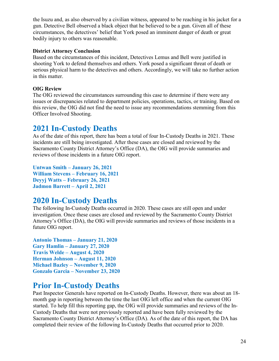the Isuzu and, as also observed by a civilian witness, appeared to be reaching in his jacket for a gun. Detective Bell observed a black object that he believed to be a gun. Given all of these circumstances, the detectives' belief that York posed an imminent danger of death or great bodily injury to others was reasonable.

# **District Attorney Conclusion**

Based on the circumstances of this incident, Detectives Lemus and Bell were justified in shooting York to defend themselves and others. York posed a significant threat of death or serious physical harm to the detectives and others. Accordingly, we will take no further action in this matter.

# **OIG Review**

The OIG reviewed the circumstances surrounding this case to determine if there were any issues or discrepancies related to department policies, operations, tactics, or training. Based on this review, the OIG did not find the need to issue any recommendations stemming from this Officer Involved Shooting.

# **2021 In-Custody Deaths**

As of the date of this report, there has been a total of four In-Custody Deaths in 2021. These incidents are still being investigated. After these cases are closed and reviewed by the Sacramento County District Attorney's Office (DA), the OIG will provide summaries and reviews of those incidents in a future OIG report.

```
Untwan Smith – January 26, 2021
William Stevens – February 16, 2021
Deyyj Watts – February 26, 2021
Jadmon Barrett – April 2, 2021
```
# **2020 In-Custody Deaths**

The following In-Custody Deaths occurred in 2020. These cases are still open and under investigation. Once these cases are closed and reviewed by the Sacramento County District Attorney's Office (DA), the OIG will provide summaries and reviews of those incidents in a future OIG report.

```
Antonio Thomas – January 21, 2020
Gary Hamlin – January 27, 2020
Travis Welde – August 4, 2020
Herman Johnson – August 11, 2020
Michael Bazley – November 9, 2020
Gonzalo Garcia – November 23, 2020
```
# **Prior In-Custody Deaths**

Past Inspector Generals have reported on In-Custody Deaths. However, there was about an 18 month gap in reporting between the time the last OIG left office and when the current OIG started. To help fill this reporting gap, the OIG will provide summaries and reviews of the In-Custody Deaths that were not previously reported and have been fully reviewed by the Sacramento County District Attorney's Office (DA). As of the date of this report, the DA has completed their review of the following In-Custody Deaths that occurred prior to 2020.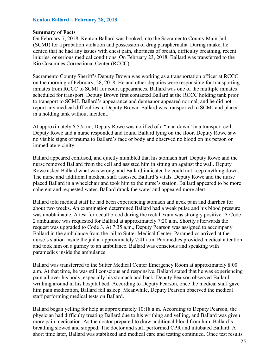#### **Kenton Ballard – February 28, 2018**

#### **Summary of Facts**

On February 7, 2018, Kenton Ballard was booked into the Sacramento County Main Jail (SCMJ) for a probation violation and possession of drug paraphernalia. During intake, he denied that he had any issues with chest pain, shortness of breath, difficulty breathing, recent injuries, or serious medical conditions. On February 23, 2018, Ballard was transferred to the Rio Cosumnes Correctional Center (RCCC).

Sacramento County Sheriff's Deputy Brown was working as a transportation officer at RCCC on the morning of February, 28, 2018. He and other deputies were responsible for transporting inmates from RCCC to SCMJ for court appearances. Ballard was one of the multiple inmates scheduled for transport. Deputy Brown first contacted Ballard at the RCCC holding tank prior to transport to SCMJ. Ballard's appearance and demeanor appeared normal, and he did not report any medical difficulties to Deputy Brown. Ballard was transported to SCMJ and placed in a holding tank without incident.

At approximately 6:57a.m., Deputy Rowe was notified of a "man down" in a transport cell. Deputy Rowe and a nurse responded and found Ballard lying on the floor. Deputy Rowe saw no visible signs of trauma to Ballard's face or body and observed no blood on his person or immediate vicinity.

Ballard appeared confused, and quietly mumbled that his stomach hurt. Deputy Rowe and the nurse removed Ballard from the cell and assisted him in sitting up against the wall. Deputy Rowe asked Ballard what was wrong, and Ballard indicated he could not keep anything down. The nurse and additional medical staff assessed Ballard's vitals. Deputy Rowe and the nurse placed Ballard in a wheelchair and took him to the nurse's station. Ballard appeared to be more coherent and requested water. Ballard drank the water and appeared more alert.

Ballard told medical staff he had been experiencing stomach and neck pain and diarrhea for about two weeks. An examination determined Ballard had a weak pulse and his blood pressure was unobtainable. A test for occult blood during the rectal exam was strongly positive. A Code 2 ambulance was requested for Ballard at approximately 7:20 a.m. Shortly afterwards the request was upgraded to Code 3. At 7:35 a.m., Deputy Pearson was assigned to accompany Ballard in the ambulance from the jail to Sutter Medical Center. Paramedics arrived at the nurse's station inside the jail at approximately 7:41 a.m. Paramedics provided medical attention and took him on a gurney to an ambulance. Ballard was conscious and speaking with paramedics inside the ambulance.

Ballard was transferred to the Sutter Medical Center Emergency Room at approximately 8:00 a.m. At that time, he was still conscious and responsive. Ballard stated that he was experiencing pain all over his body, especially his stomach and back. Deputy Pearson observed Ballard writhing around in his hospital bed. According to Deputy Pearson, once the medical staff gave him pain medication, Ballard fell asleep. Meanwhile, Deputy Pearson observed the medical staff performing medical tests on Ballard.

Ballard began yelling for help at approximately 10:18 a.m. According to Deputy Pearson, the physician had difficulty treating Ballard due to his writhing and yelling, and Ballard was given more pain medication. As the doctor prepared to draw additional blood from him, Ballard's breathing slowed and stopped. The doctor and staff performed CPR and intubated Ballard. A short time later, Ballard was stabilized and medical care and testing continued. Once test results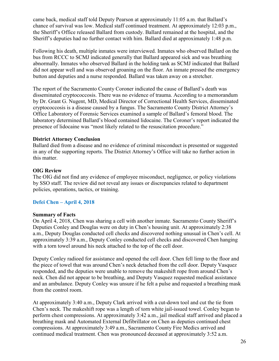came back, medical staff told Deputy Pearson at approximately 11:05 a.m. that Ballard's chance of survival was low. Medical staff continued treatment. At approximately 12:03 p.m., the Sheriff's Office released Ballard from custody. Ballard remained at the hospital, and the Sheriff's deputies had no further contact with him. Ballard died at approximately 1:48 p.m.

Following his death, multiple inmates were interviewed. Inmates who observed Ballard on the bus from RCCC to SCMJ indicated generally that Ballard appeared sick and was breathing abnormally. Inmates who observed Ballard in the holding tank as SCMJ indicated that Ballard did not appear well and was observed groaning on the floor. An inmate pressed the emergency button and deputies and a nurse responded. Ballard was taken away on a stretcher.

The report of the Sacramento County Coroner indicated the cause of Ballard's death was disseminated cryptococcosis. There was no evidence of trauma. According to a memorandum by Dr. Grant G. Nugent, MD, Medical Director of Correctional Health Services, disseminated cryptococcosis is a disease caused by a fungus. The Sacramento County District Attorney's Office Laboratory of Forensic Services examined a sample of Ballard's femoral blood. The laboratory determined Ballard's blood contained lidocaine. The Coroner's report indicated the presence of lidocaine was "most likely related to the resuscitation procedure."

#### **District Attorney Conclusion**

Ballard died from a disease and no evidence of criminal misconduct is presented or suggested in any of the supporting reports. The District Attorney's Office will take no further action in this matter.

#### **OIG Review**

The OIG did not find any evidence of employee misconduct, negligence, or policy violations by SSO staff. The review did not reveal any issues or discrepancies related to department policies, operations, tactics, or training.

# **Defei Chen – April 4, 2018**

#### **Summary of Facts**

On April 4, 2018, Chen was sharing a cell with another inmate. Sacramento County Sheriff's Deputies Conley and Douglas were on duty in Chen's housing unit. At approximately 2:38 a.m., Deputy Douglas conducted cell checks and discovered nothing unusual in Chen's cell. At approximately 3:39 a.m., Deputy Conley conducted cell checks and discovered Chen hanging with a torn towel around his neck attached to the top of the cell door.

Deputy Conley radioed for assistance and opened the cell door. Chen fell limp to the floor and the piece of towel that was around Chen's neck detached from the cell door. Deputy Vasquez responded, and the deputies were unable to remove the makeshift rope from around Chen's neck. Chen did not appear to be breathing, and Deputy Vasquez requested medical assistance and an ambulance. Deputy Conley was unsure if he felt a pulse and requested a breathing mask from the control room.

At approximately 3:40 a.m., Deputy Clark arrived with a cut-down tool and cut the tie from Chen's neck. The makeshift rope was a length of torn white jail-issued towel. Conley began to perform chest compressions. At approximately 3:42 a.m., jail medical staff arrived and placed a breathing mask and Automated External Defibrillator on Chen as deputies continued chest compressions. At approximately 3:49 a.m., Sacramento County Fire Medics arrived and continued medical treatment. Chen was pronounced deceased at approximately 3:52 a.m.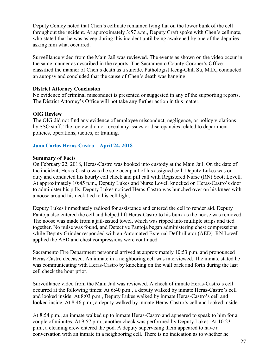Deputy Conley noted that Chen's cellmate remained lying flat on the lower bunk of the cell throughout the incident. At approximately 3:57 a.m., Deputy Craft spoke with Chen's cellmate, who stated that he was asleep during this incident until being awakened by one of the deputies asking him what occurred.

Surveillance video from the Main Jail was reviewed. The events as shown on the video occur in the same manner as described in the reports. The Sacramento County Coroner's Office classified the manner of Chen's death as a suicide. Pathologist Keng-Chih Su, M.D., conducted an autopsy and concluded that the cause of Chen's death was hanging.

#### **District Attorney Conclusion**

No evidence of criminal misconduct is presented or suggested in any of the supporting reports. The District Attorney's Office will not take any further action in this matter.

#### **OIG Review**

The OIG did not find any evidence of employee misconduct, negligence, or policy violations by SSO staff. The review did not reveal any issues or discrepancies related to department policies, operations, tactics, or training.

#### **Juan Carlos Heras-Castro – April 24, 2018**

#### **Summary of Facts**

On February 22, 2018, Heras-Castro was booked into custody at the Main Jail. On the date of the incident, Heras-Castro was the sole occupant of his assigned cell. Deputy Lukes was on duty and conducted his hourly cell check and pill call with Registered Nurse (RN) Scott Lovell. At approximately 10:45 p.m., Deputy Lukes and Nurse Lovell knocked on Heras-Castro's door to administer his pills. Deputy Lukes noticed Heras-Castro was hunched over on his knees with a noose around his neck tied to his cell light.

Deputy Lukes immediately radioed for assistance and entered the cell to render aid. Deputy Pantoja also entered the cell and helped lift Heras-Castro to his bunk as the noose was removed. The noose was made from a jail-issued towel, which was ripped into multiple strips and tied together. No pulse was found, and Detective Pantoja began administering chest compressions while Deputy Grinder responded with an Automated External Defibrillator (AED). RN Lovell applied the AED and chest compressions were continued.

Sacramento Fire Department personnel arrived at approximately 10:53 p.m. and pronounced Heras-Castro deceased. An inmate in a neighboring cell was interviewed. The inmate stated he was communicating with Heras-Castro by knocking on the wall back and forth during the last cell check the hour prior.

Surveillance video from the Main Jail was reviewed. A check of inmate Heras-Castro's cell occurred at the following times: At 6:40 p.m., a deputy walked by inmate Heras-Castro's cell and looked inside. At 8:03 p.m., Deputy Lukes walked by inmate Heras-Castro's cell and looked inside. At 8:46 p.m., a deputy walked by inmate Heras-Castro's cell and looked inside.

At 8:54 p.m., an inmate walked up to inmate Heras-Castro and appeared to speak to him for a couple of minutes. At 9:57 p.m., another check was performed by Deputy Lukes. At 10:23 p.m., a cleaning crew entered the pod. A deputy supervising them appeared to have a conversation with an inmate in a neighboring cell. There is no indication as to whether he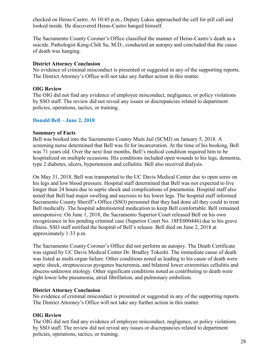checked on Heras-Castro. At 10:45 p.m., Deputy Lukes approached the cell for pill call and looked inside. He discovered Heras-Castro hanged himself.

The Sacramento County Coroner's Office classified the manner of Heras-Castro's death as a suicide. Pathologist Keng-Chih Su, M.D., conducted an autopsy and concluded that the cause of death was hanging.

### **District Attorney Conclusion**

No evidence of criminal misconduct is presented or suggested in any of the supporting reports. The District Attorney's Office will not take any further action in this matter.

# **OIG Review**

The OIG did not find any evidence of employee misconduct, negligence, or policy violations by SSO staff. The review did not reveal any issues or discrepancies related to department policies, operations, tactics, or training.

# **Donald Bell – June 2, 2018**

#### **Summary of Facts**

Bell was booked into the Sacramento County Main Jail (SCMJ) on January 5, 2018. A screening nurse determined that Bell was fit for incarceration. At the time of his booking, Bell was 71 years old. Over the next four months, Bell's medical condition required him to be hospitalized on multiple occasions. His conditions included open wounds to his legs, dementia, type 2 diabetes, ulcers, hypertension and cellulitis. Bell also received dialysis.

On May 31, 2018, Bell was transported to the UC Davis Medical Center due to open sores on his legs and low blood pressure. Hospital staff determined that Bell was not expected to live longer than 24 hours due to septic shock and complications of pneumonia. Hospital staff also noted that Bell had major swelling and necrosis to his lower legs. The hospital staff informed Sacramento County Sheriff's Office (SSO) personnel that they had done all they could to treat Bell medically. The hospital administered medication to keep Bell comfortable. Bell remained unresponsive. On June 1, 2018, the Sacramento Superior Court released Bell on his own recognizance in his pending criminal case (Superior Court No. 18FE000446) due to his grave illness. SSO staff notified the hospital of Bell's release. Bell died on June 2, 2018 at approximately 1:33 p.m.

The Sacramento County Coroner's Office did not perform an autopsy. The Death Certificate was signed by UC Davis Medical Center Dr. Bradley Tokeshi. The immediate cause of death was listed as multi-organ failure. Other conditions noted as leading to his cause of death were septic shock, streptococcus pyogenes bacteremia, and bilateral lower extremities cellulitis and abscess-unknown etiology. Other significant conditions noted as contributing to death were right lower lobe pneumonia, atrial fibrillation, and pulmonary embolism.

# **District Attorney Conclusion**

No evidence of criminal misconduct is presented or suggested in any of the supporting reports. The District Attorney's Office will not take any further action in this matter.

# **OIG Review**

The OIG did not find any evidence of employee misconduct, negligence, or policy violations by SSO staff. The review did not reveal any issues or discrepancies related to department policies, operations, tactics, or training.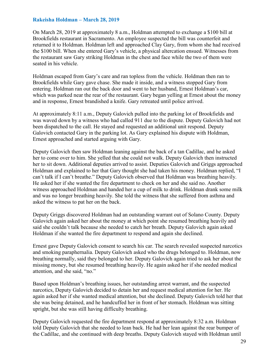### **Rakeisha Holdman – March 28, 2019**

On March 28, 2019 at approximately 8 a.m., Holdman attempted to exchange a \$100 bill at Brookfields restaurant in Sacramento. An employee suspected the bill was counterfeit and returned it to Holdman. Holdman left and approached Clay Gary, from whom she had received the \$100 bill. When she entered Gary's vehicle, a physical altercation ensued. Witnesses from the restaurant saw Gary striking Holdman in the chest and face while the two of them were seated in his vehicle.

Holdman escaped from Gary's care and ran topless from the vehicle. Holdman then ran to Brookfields while Gary gave chase. She made it inside, and a witness stopped Gary from entering. Holdman ran out the back door and went to her husband, Ernest Holdman's car, which was parked near the rear of the restaurant. Gary began yelling at Ernest about the money and in response, Ernest brandished a knife. Gary retreated until police arrived.

At approximately 8:11 a.m., Deputy Galovich pulled into the parking lot of Brookfields and was waved down by a witness who had called 911 due to the dispute. Deputy Galovich had not been dispatched to the call. He stayed and requested an additional unit respond. Deputy Galovich contacted Gary in the parking lot. As Gary explained his dispute with Holdman, Ernest approached and started arguing with Gary.

Deputy Galovich then saw Holdman leaning against the back of a tan Cadillac, and he asked her to come over to him. She yelled that she could not walk. Deputy Galovich then instructed her to sit down. Additional deputies arrived to assist. Deputies Galovich and Griggs approached Holdman and explained to her that Gary thought she had taken his money. Holdman replied, "I can't talk if I can't breathe." Deputy Galovich observed that Holdman was breathing heavily. He asked her if she wanted the fire department to check on her and she said no. Another witness approached Holdman and handed her a cup of milk to drink. Holdman drank some milk and was no longer breathing heavily. She told the witness that she suffered from asthma and asked the witness to pat her on the back.

Deputy Griggs discovered Holdman had an outstanding warrant out of Solano County. Deputy Galovich again asked her about the money at which point she resumed breathing heavily and said she couldn't talk because she needed to catch her breath. Deputy Galovich again asked Holdman if she wanted the fire department to respond and again she declined.

Ernest gave Deputy Galovich consent to search his car. The search revealed suspected narcotics and smoking paraphernalia. Deputy Galovich asked who the drugs belonged to. Holdman, now breathing normally, said they belonged to her. Deputy Galovich again tried to ask her about the missing money, but she resumed breathing heavily. He again asked her if she needed medical attention, and she said, "no."

Based upon Holdman's breathing issues, her outstanding arrest warrant, and the suspected narcotics, Deputy Galovich decided to detain her and request medical attention for her. He again asked her if she wanted medical attention, but she declined. Deputy Galovich told her that she was being detained, and he handcuffed her in front of her stomach. Holdman was sitting upright, but she was still having difficulty breathing.

Deputy Galovich requested the fire department respond at approximately 8:32 a.m. Holdman told Deputy Galovich that she needed to lean back. He had her lean against the rear bumper of the Cadillac, and she continued with deep breaths. Deputy Galovich stayed with Holdman until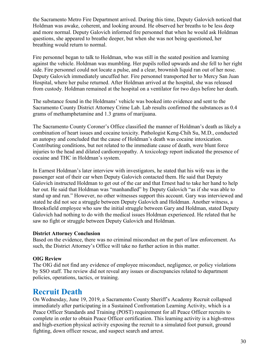the Sacramento Metro Fire Department arrived. During this time, Deputy Galovich noticed that Holdman was awake, coherent, and looking around. He observed her breaths to be less deep and more normal. Deputy Galovich informed fire personnel that when he would ask Holdman questions, she appeared to breathe deeper, but when she was not being questioned, her breathing would return to normal.

Fire personnel began to talk to Holdman, who was still in the seated position and learning against the vehicle. Holdman was mumbling. Her pupils rolled upwards and she fell to her right side. Fire personnel could not locate a pulse, and a clear, brownish liquid ran out of her nose. Deputy Galovich immediately uncuffed her. Fire personnel transported her to Mercy San Juan Hospital, where her pulse returned. After Holdman arrived at the hospital, she was released from custody. Holdman remained at the hospital on a ventilator for two days before her death.

The substance found in the Holdmans' vehicle was booked into evidence and sent to the Sacramento County District Attorney Crime Lab. Lab results confirmed the substances as 0.4 grams of methamphetamine and 1.3 grams of marijuana.

The Sacramento County Coroner's Office classified the manner of Holdman's death as likely a combination of heart issues and cocaine toxicity. Pathologist Keng-Chih Su, M.D., conducted an autopsy and concluded that the cause of Holdman's death was cocaine intoxication. Contributing conditions, but not related to the immediate cause of death, were blunt force injuries to the head and dilated cardiomyopathy. A toxicology report indicated the presence of cocaine and THC in Holdman's system.

In Earnest Holdman's later interview with investigators, he stated that his wife was in the passenger seat of their car when Deputy Galovich contacted them. He said that Deputy Galovich instructed Holdman to get out of the car and that Ernest had to take her hand to help her out. He said that Holdman was "manhandled" by Deputy Galovich "as if she was able to stand up and run." However, no other witnesses support this account. Gary was interviewed and stated he did not see a struggle between Deputy Galovich and Holdman. Another witness, a Brooksfield employee who saw the initial struggle between Gary and Holdman, stated Deputy Galovich had nothing to do with the medical issues Holdman experienced. He related that he saw no fight or struggle between Deputy Galovich and Holdman.

# **District Attorney Conclusion**

Based on the evidence, there was no criminal misconduct on the part of law enforcement. As such, the District Attorney's Office will take no further action in this matter.

# **OIG Review**

The OIG did not find any evidence of employee misconduct, negligence, or policy violations by SSO staff. The review did not reveal any issues or discrepancies related to department policies, operations, tactics, or training.

# **Recruit Death**

On Wednesday, June 19, 2019, a Sacramento County Sheriff's Academy Recruit collapsed immediately after participating in a Sustained Confrontation Learning Activity, which is a Peace Officer Standards and Training (POST) requirement for all Peace Officer recruits to complete in order to obtain Peace Officer certification. This learning activity is a high-stress and high-exertion physical activity exposing the recruit to a simulated foot pursuit, ground fighting, down officer rescue, and suspect search and arrest.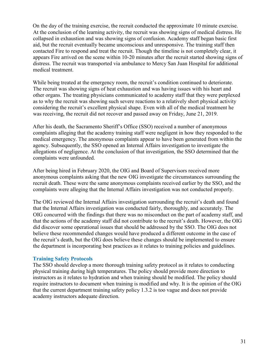On the day of the training exercise, the recruit conducted the approximate 10 minute exercise. At the conclusion of the learning activity, the recruit was showing signs of medical distress. He collapsed in exhaustion and was showing signs of confusion. Academy staff began basic first aid, but the recruit eventually became unconscious and unresponsive. The training staff then contacted Fire to respond and treat the recruit. Though the timeline is not completely clear, it appears Fire arrived on the scene within 10-20 minutes after the recruit started showing signs of distress. The recruit was transported via ambulance to Mercy San Juan Hospital for additional medical treatment.

While being treated at the emergency room, the recruit's condition continued to deteriorate. The recruit was showing signs of heat exhaustion and was having issues with his heart and other organs. The treating physicians communicated to academy staff that they were perplexed as to why the recruit was showing such severe reactions to a relatively short physical activity considering the recruit's excellent physical shape. Even with all of the medical treatment he was receiving, the recruit did not recover and passed away on Friday, June 21, 2019.

After his death, the Sacramento Sheriff's Office (SSO) received a number of anonymous complaints alleging that the academy training staff were negligent in how they responded to the medical emergency. The anonymous complaints appear to have been generated from within the agency. Subsequently, the SSO opened an Internal Affairs investigation to investigate the allegations of negligence. At the conclusion of that investigation, the SSO determined that the complaints were unfounded.

After being hired in February 2020, the OIG and Board of Supervisors received more anonymous complaints asking that the new OIG investigate the circumstances surrounding the recruit death. These were the same anonymous complaints received earlier by the SSO, and the complaints were alleging that the Internal Affairs investigation was not conducted properly.

The OIG reviewed the Internal Affairs investigation surrounding the recruit's death and found that the Internal Affairs investigation was conducted fairly, thoroughly, and accurately. The OIG concurred with the findings that there was no misconduct on the part of academy staff, and that the actions of the academy staff did not contribute to the recruit's death. However, the OIG did discover some operational issues that should be addressed by the SSO. The OIG does not believe these recommended changes would have produced a different outcome in the case of the recruit's death, but the OIG does believe these changes should be implemented to ensure the department is incorporating best practices as it relates to training policies and guidelines.

#### **Training Safety Protocols**

The SSO should develop a more thorough training safety protocol as it relates to conducting physical training during high temperatures. The policy should provide more direction to instructors as it relates to hydration and when training should be modified. The policy should require instructors to document when training is modified and why. It is the opinion of the OIG that the current department training safety policy 1.3.2 is too vague and does not provide academy instructors adequate direction.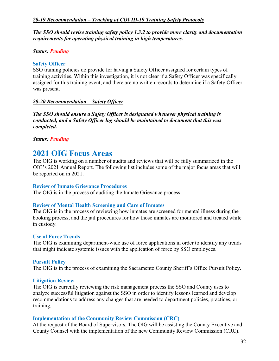# *20-19 Recommendation – Tracking of COVID-19 Training Safety Protocols*

*The SSO should revise training safety policy 1.3.2 to provide more clarity and documentation requirements for operating physical training in high temperatures.* 

# *Status: Pending*

# **Safety Officer**

SSO training policies do provide for having a Safety Officer assigned for certain types of training activities. Within this investigation, it is not clear if a Safety Officer was specifically assigned for this training event, and there are no written records to determine if a Safety Officer was present.

# *20-20 Recommendation – Safety Officer*

*The SSO should ensure a Safety Officer is designated whenever physical training is conducted, and a Safety Officer log should be maintained to document that this was completed.* 

*Status: Pending*

# **2021 OIG Focus Areas**

The OIG is working on a number of audits and reviews that will be fully summarized in the OIG's 2021 Annual Report. The following list includes some of the major focus areas that will be reported on in 2021.

# **Review of Inmate Grievance Procedures**

The OIG is in the process of auditing the Inmate Grievance process.

# **Review of Mental Health Screening and Care of Inmates**

The OIG is in the process of reviewing how inmates are screened for mental illness during the booking process, and the jail procedures for how those inmates are monitored and treated while in custody.

# **Use of Force Trends**

The OIG is examining department-wide use of force applications in order to identify any trends that might indicate systemic issues with the application of force by SSO employees.

# **Pursuit Policy**

The OIG is in the process of examining the Sacramento County Sheriff's Office Pursuit Policy.

# **Litigation Review**

The OIG is currently reviewing the risk management process the SSO and County uses to analyze successful litigation against the SSO in order to identify lessons learned and develop recommendations to address any changes that are needed to department policies, practices, or training.

# **Implementation of the Community Review Commission (CRC)**

At the request of the Board of Supervisors, The OIG will be assisting the County Executive and County Counsel with the implementation of the new Community Review Commission (CRC).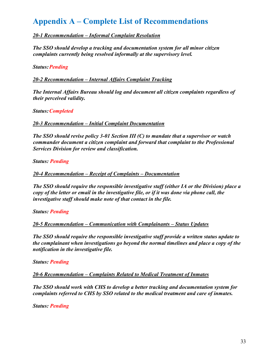# **Appendix A – Complete List of Recommendations**

# *20-1 Recommendation – Informal Complaint Resolution*

*The SSO should develop a tracking and documentation system for all minor citizen complaints currently being resolved informally at the supervisory level.* 

**Status: Pending** 

*20-2 Recommendation – Internal Affairs Complaint Tracking*

*The Internal Affairs Bureau should log and document all citizen complaints regardless of their perceived validity.* 

*Status:Completed*

*20-3 Recommendation – Initial Complaint Documentation*

*The SSO should revise policy 3-01 Section III (C) to mandate that a supervisor or watch commander document a citizen complaint and forward that complaint to the Professional Services Division for review and classification.* 

*Status: Pending*

*20-4 Recommendation – Receipt of Complaints – Documentation* 

*The SSO should require the responsible investigative staff (either IA or the Division) place a copy of the letter or email in the investigative file, or if it was done via phone call, the investigative staff should make note of that contact in the file.*

*Status: Pending*

*20-5 Recommendation – Communication with Complainants – Status Updates*

*The SSO should require the responsible investigative staff provide a written status update to the complainant when investigations go beyond the normal timelines and place a copy of the notification in the investigative file.* 

*Status: Pending*

*20-6 Recommendation – Complaints Related to Medical Treatment of Inmates*

*The SSO should work with CHS to develop a better tracking and documentation system for complaints referred to CHS by SSO related to the medical treatment and care of inmates.*

*Status: Pending*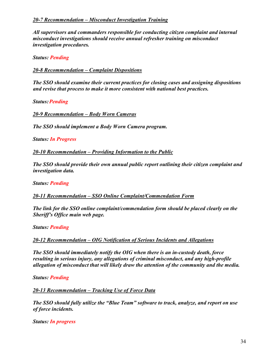*All supervisors and commanders responsible for conducting citizen complaint and internal misconduct investigations should receive annual refresher training on misconduct investigation procedures.*

*Status: Pending*

*20-8 Recommendation – Complaint Dispositions* 

*The SSO should examine their current practices for closing cases and assigning dispositions and revise that process to make it more consistent with national best practices.*

**Status: Pending** 

*20-9 Recommendation – Body Worn Cameras*

*The SSO should implement a Body Worn Camera program.*

*Status: In Progress*

*20-10 Recommendation – Providing Information to the Public*

*The SSO should provide their own annual public report outlining their citizen complaint and investigation data.* 

*Status: Pending*

*20-11 Recommendation – SSO Online Complaint/Commendation Form* 

*The link for the SSO online complaint/commendation form should be placed clearly on the Sheriff's Office main web page.*

*Status: Pending*

*20-12 Recommendation – OIG Notification of Serious Incidents and Allegations*

*The SSO should immediately notify the OIG when there is an in-custody death, force resulting in serious injury, any allegations of criminal misconduct, and any high-profile allegation of misconduct that will likely draw the attention of the community and the media.* 

*Status: Pending*

*20-13 Recommendation – Tracking Use of Force Data*

*The SSO should fully utilize the "Blue Team" software to track, analyze, and report on use of force incidents.* 

*Status: In progress*